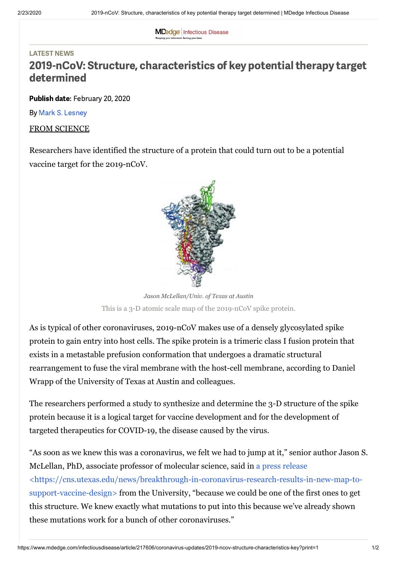**MDedge** Infectious Disease .<br>Ceeping you informed. Saving you time

#### LATEST NEWS

# 2019-nCoV: Structure, characteristics of key potential therapy target determined

Publish date: February 20, 2020

By Mark S. [Lesney](https://www.mdedge.com/authors/mark-s-lesney)

FROM SCIENCE

Researchers have identified the structure of a protein that could turn out to be a potential vaccine target for the 2019-nCoV.



This is a 3-D atomic scale map of the 2019-nCoV spike protein. *Jason McLellan/Univ. of Texas at Austin*

As is typical of other coronaviruses, 2019-nCoV makes use of a densely glycosylated spike protein to gain entry into host cells. The spike protein is a trimeric class I fusion protein that exists in a metastable prefusion conformation that undergoes a dramatic structural rearrangement to fuse the viral membrane with the host-cell membrane, according to Daniel Wrapp of the University of Texas at Austin and colleagues.

The researchers performed a study to synthesize and determine the 3-D structure of the spike protein because it is a logical target for vaccine development and for the development of targeted therapeutics for COVID-19, the disease caused by the virus.

"As soon as we knew this was a coronavirus, we felt we had to jump at it," senior author Jason S. McLellan, PhD, associate professor of molecular science, said in a press release [<https://cns.utexas.edu/news/breakthrough-in-coronavirus-research-results-in-new-map-to](https://cns.utexas.edu/news/breakthrough-in-coronavirus-research-results-in-new-map-to-support-vaccine-design)support-vaccine-design> from the University, "because we could be one of the first ones to get this structure. We knew exactly what mutations to put into this because we've already shown these mutations work for a bunch of other coronaviruses."